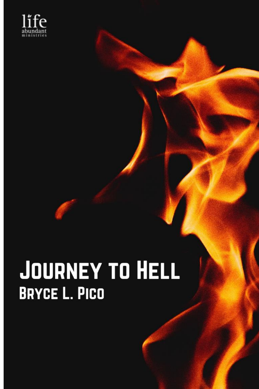

## **JOURNEY TO HELL BRYCE L. PICO**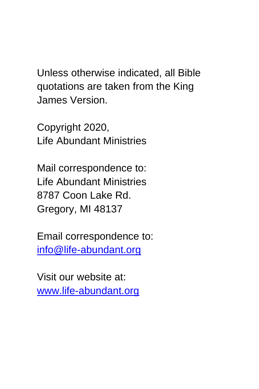Unless otherwise indicated, all Bible quotations are taken from the King James Version.

Copyright 2020, Life Abundant Ministries

Mail correspondence to: Life Abundant Ministries 8787 Coon Lake Rd. Gregory, MI 48137

Email correspondence to: [info@life-abundant.org](mailto:info@life-abundant.org)

Visit our website at: [www.life-abundant.org](http://www.life-abundant.org/)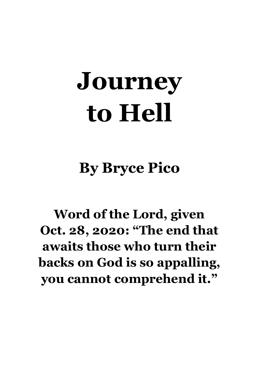# **Journey to Hell**

**By Bryce Pico**

**Word of the Lord, given Oct. 28, 2020: "The end that awaits those who turn their backs on God is so appalling, you cannot comprehend it."**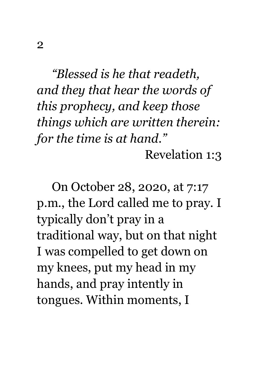*"Blessed is he that readeth, and they that hear the words of this prophecy, and keep those things which are written therein: for the time is at hand."* Revelation 1:3

On October 28, 2020, at 7:17 p.m., the Lord called me to pray. I typically don't pray in a traditional way, but on that night I was compelled to get down on my knees, put my head in my hands, and pray intently in tongues. Within moments, I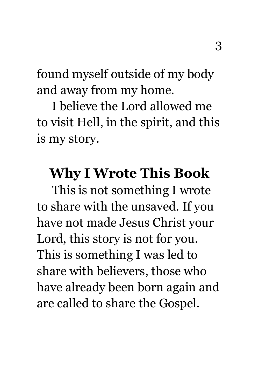found myself outside of my body and away from my home.

I believe the Lord allowed me to visit Hell, in the spirit, and this is my story.

## **Why I Wrote This Book**

This is not something I wrote to share with the unsaved. If you have not made Jesus Christ your Lord, this story is not for you. This is something I was led to share with believers, those who have already been born again and are called to share the Gospel.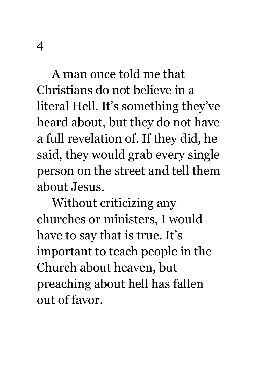A man once told me that Christians do not believe in a literal Hell. It's something they've heard about, but they do not have

a full revelation of. If they did, he said, they would grab every single person on the street and tell them about Jesus.

Without criticizing any churches or ministers, I would have to say that is true. It's important to teach people in the Church about heaven, but preaching about hell has fallen out of favor.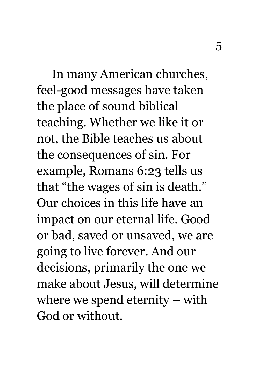In many American churches, feel-good messages have taken the place of sound biblical teaching. Whether we like it or not, the Bible teaches us about the consequences of sin. For example, Romans 6:23 tells us that "the wages of sin is death." Our choices in this life have an impact on our eternal life. Good or bad, saved or unsaved, we are going to live forever. And our decisions, primarily the one we make about Jesus, will determine where we spend eternity – with God or without.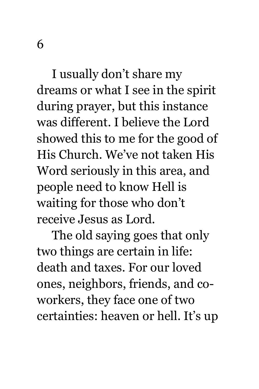I usually don't share my dreams or what I see in the spirit during prayer, but this instance was different. I believe the Lord showed this to me for the good of His Church. We've not taken His Word seriously in this area, and people need to know Hell is waiting for those who don't receive Jesus as Lord.

The old saying goes that only two things are certain in life: death and taxes. For our loved ones, neighbors, friends, and coworkers, they face one of two certainties: heaven or hell. It's up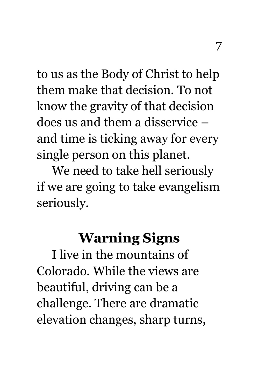to us as the Body of Christ to help them make that decision. To not know the gravity of that decision does us and them a disservice – and time is ticking away for every single person on this planet.

We need to take hell seriously if we are going to take evangelism seriously.

## **Warning Signs**

I live in the mountains of Colorado. While the views are beautiful, driving can be a challenge. There are dramatic elevation changes, sharp turns,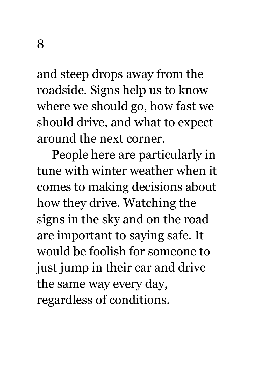and steep drops away from the roadside. Signs help us to know where we should go, how fast we should drive, and what to expect around the next corner.

People here are particularly in tune with winter weather when it comes to making decisions about how they drive. Watching the signs in the sky and on the road are important to saying safe. It would be foolish for someone to just jump in their car and drive the same way every day, regardless of conditions.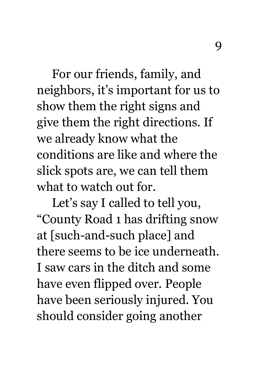For our friends, family, and neighbors, it's important for us to show them the right signs and give them the right directions. If we already know what the conditions are like and where the slick spots are, we can tell them what to watch out for.

Let's say I called to tell you, "County Road 1 has drifting snow at [such-and-such place] and there seems to be ice underneath. I saw cars in the ditch and some have even flipped over. People have been seriously injured. You should consider going another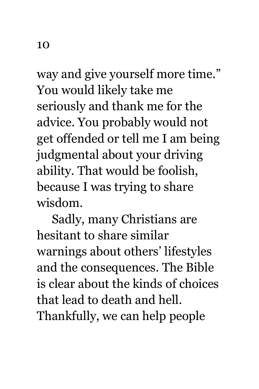way and give yourself more time." You would likely take me seriously and thank me for the advice. You probably would not get offended or tell me I am being judgmental about your driving ability. That would be foolish, because I was trying to share wisdom.

Sadly, many Christians are hesitant to share similar warnings about others' lifestyles and the consequences. The Bible is clear about the kinds of choices that lead to death and hell. Thankfully, we can help people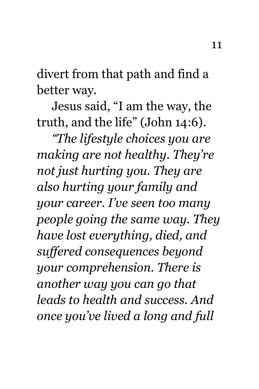divert from that path and find a better way.

Jesus said, "I am the way, the truth, and the life" (John 14:6).

*"The lifestyle choices you are making are not healthy. They're not just hurting you. They are also hurting your family and your career. I've seen too many people going the same way. They have lost everything, died, and suffered consequences beyond your comprehension. There is another way you can go that leads to health and success. And once you've lived a long and full*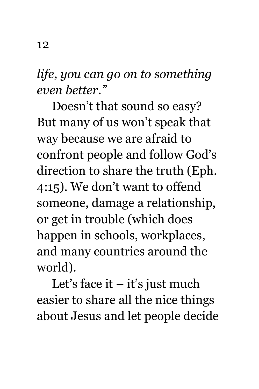*life, you can go on to something even better."*

Doesn't that sound so easy? But many of us won't speak that way because we are afraid to confront people and follow God's direction to share the truth (Eph. 4:15). We don't want to offend someone, damage a relationship, or get in trouble (which does happen in schools, workplaces, and many countries around the world).

Let's face it  $-$  it's just much easier to share all the nice things about Jesus and let people decide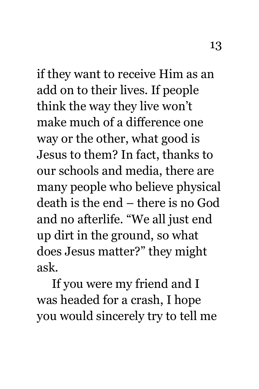if they want to receive Him as an add on to their lives. If people think the way they live won't make much of a difference one way or the other, what good is Jesus to them? In fact, thanks to our schools and media, there are many people who believe physical death is the end – there is no God and no afterlife. "We all just end up dirt in the ground, so what does Jesus matter?" they might ask.

If you were my friend and I was headed for a crash, I hope you would sincerely try to tell me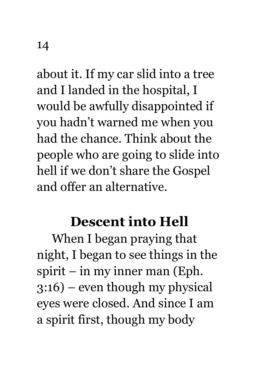about it. If my car slid into a tree and I landed in the hospital, I would be awfully disappointed if you hadn't warned me when you had the chance. Think about the people who are going to slide into hell if we don't share the Gospel and offer an alternative.

#### **Descent into Hell**

When I began praying that night, I began to see things in the spirit – in my inner man (Eph. 3:16) – even though my physical eyes were closed. And since I am a spirit first, though my body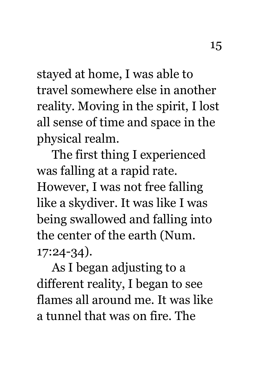stayed at home, I was able to travel somewhere else in another reality. Moving in the spirit, I lost all sense of time and space in the physical realm.

The first thing I experienced was falling at a rapid rate. However, I was not free falling like a skydiver. It was like I was being swallowed and falling into the center of the earth (Num. 17:24-34).

As I began adjusting to a different reality, I began to see flames all around me. It was like a tunnel that was on fire. The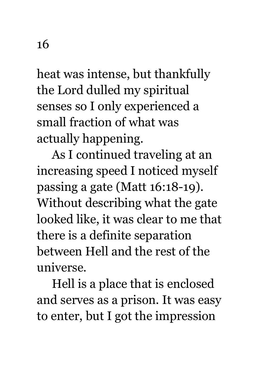heat was intense, but thankfully the Lord dulled my spiritual senses so I only experienced a small fraction of what was actually happening.

As I continued traveling at an increasing speed I noticed myself passing a gate (Matt 16:18-19). Without describing what the gate looked like, it was clear to me that there is a definite separation between Hell and the rest of the universe.

Hell is a place that is enclosed and serves as a prison. It was easy to enter, but I got the impression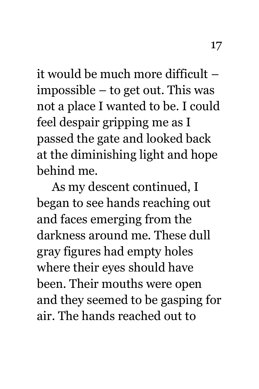it would be much more difficult – impossible – to get out. This was not a place I wanted to be. I could feel despair gripping me as I passed the gate and looked back at the diminishing light and hope behind me.

As my descent continued, I began to see hands reaching out and faces emerging from the darkness around me. These dull gray figures had empty holes where their eyes should have been. Their mouths were open and they seemed to be gasping for air. The hands reached out to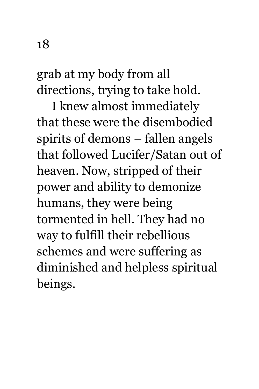grab at my body from all directions, trying to take hold.

I knew almost immediately that these were the disembodied spirits of demons – fallen angels that followed Lucifer/Satan out of heaven. Now, stripped of their power and ability to demonize humans, they were being tormented in hell. They had no way to fulfill their rebellious schemes and were suffering as diminished and helpless spiritual beings.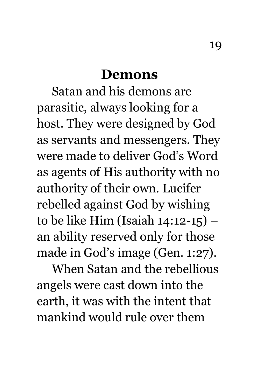#### **Demons**

Satan and his demons are parasitic, always looking for a host. They were designed by God as servants and messengers. They were made to deliver God's Word as agents of His authority with no authority of their own. Lucifer rebelled against God by wishing to be like Him (Isaiah 14:12-15) – an ability reserved only for those made in God's image (Gen. 1:27).

When Satan and the rebellious angels were cast down into the earth, it was with the intent that mankind would rule over them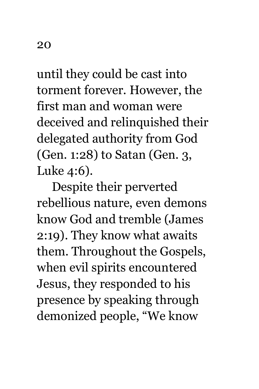until they could be cast into torment forever. However, the first man and woman were deceived and relinquished their delegated authority from God (Gen. 1:28) to Satan (Gen. 3, Luke 4:6).

Despite their perverted rebellious nature, even demons know God and tremble (James 2:19). They know what awaits them. Throughout the Gospels, when evil spirits encountered Jesus, they responded to his presence by speaking through demonized people, "We know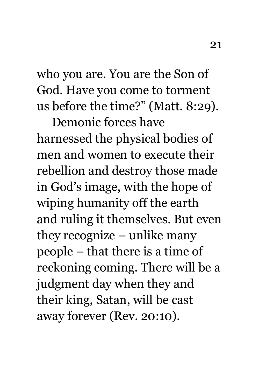who you are. You are the Son of God. Have you come to torment us before the time?" (Matt. 8:29).

Demonic forces have harnessed the physical bodies of men and women to execute their rebellion and destroy those made in God's image, with the hope of wiping humanity off the earth and ruling it themselves. But even they recognize – unlike many people – that there is a time of reckoning coming. There will be a judgment day when they and their king, Satan, will be cast away forever (Rev. 20:10).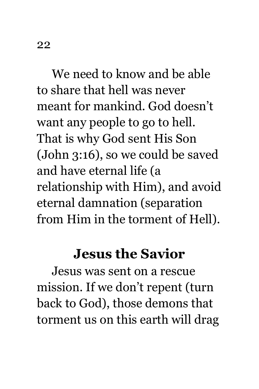We need to know and be able to share that hell was never meant for mankind. God doesn't want any people to go to hell. That is why God sent His Son (John 3:16), so we could be saved and have eternal life (a relationship with Him), and avoid eternal damnation (separation from Him in the torment of Hell).

#### **Jesus the Savior**

Jesus was sent on a rescue mission. If we don't repent (turn back to God), those demons that torment us on this earth will drag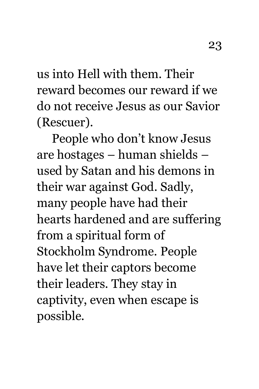us into Hell with them. Their reward becomes our reward if we do not receive Jesus as our Savior (Rescuer).

People who don't know Jesus are hostages – human shields – used by Satan and his demons in their war against God. Sadly, many people have had their hearts hardened and are suffering from a spiritual form of Stockholm Syndrome. People have let their captors become their leaders. They stay in captivity, even when escape is possible.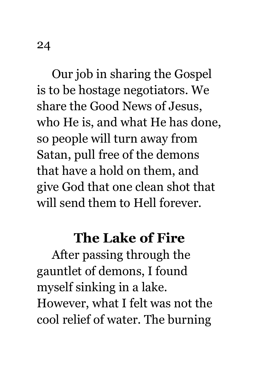Our job in sharing the Gospel is to be hostage negotiators. We share the Good News of Jesus, who He is, and what He has done, so people will turn away from Satan, pull free of the demons that have a hold on them, and give God that one clean shot that will send them to Hell forever.

#### **The Lake of Fire**

After passing through the gauntlet of demons, I found myself sinking in a lake. However, what I felt was not the cool relief of water. The burning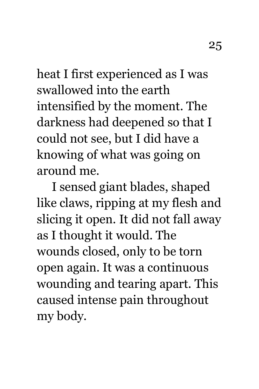heat I first experienced as I was swallowed into the earth intensified by the moment. The darkness had deepened so that I could not see, but I did have a knowing of what was going on around me.

I sensed giant blades, shaped like claws, ripping at my flesh and slicing it open. It did not fall away as I thought it would. The wounds closed, only to be torn open again. It was a continuous wounding and tearing apart. This caused intense pain throughout my body.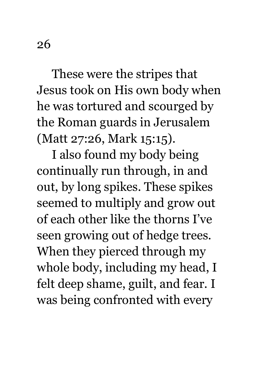These were the stripes that Jesus took on His own body when he was tortured and scourged by the Roman guards in Jerusalem (Matt 27:26, Mark 15:15).

I also found my body being continually run through, in and out, by long spikes. These spikes seemed to multiply and grow out of each other like the thorns I've seen growing out of hedge trees. When they pierced through my whole body, including my head, I felt deep shame, guilt, and fear. I was being confronted with every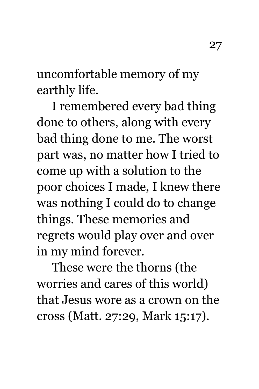uncomfortable memory of my earthly life.

I remembered every bad thing done to others, along with every bad thing done to me. The worst part was, no matter how I tried to come up with a solution to the poor choices I made, I knew there was nothing I could do to change things. These memories and regrets would play over and over in my mind forever.

These were the thorns (the worries and cares of this world) that Jesus wore as a crown on the cross (Matt. 27:29, Mark 15:17).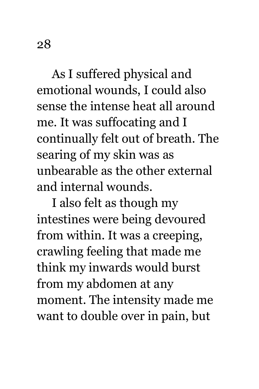As I suffered physical and emotional wounds, I could also sense the intense heat all around me. It was suffocating and I continually felt out of breath. The searing of my skin was as unbearable as the other external and internal wounds.

I also felt as though my intestines were being devoured from within. It was a creeping, crawling feeling that made me think my inwards would burst from my abdomen at any moment. The intensity made me want to double over in pain, but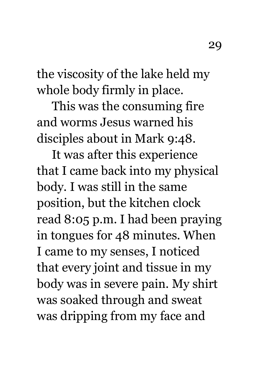the viscosity of the lake held my whole body firmly in place.

This was the consuming fire and worms Jesus warned his disciples about in Mark 9:48.

It was after this experience that I came back into my physical body. I was still in the same position, but the kitchen clock read 8:05 p.m. I had been praying in tongues for 48 minutes. When I came to my senses, I noticed that every joint and tissue in my body was in severe pain. My shirt was soaked through and sweat was dripping from my face and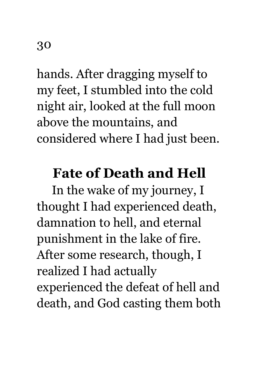hands. After dragging myself to my feet, I stumbled into the cold night air, looked at the full moon above the mountains, and considered where I had just been.

### **Fate of Death and Hell**

In the wake of my journey, I thought I had experienced death, damnation to hell, and eternal punishment in the lake of fire. After some research, though, I realized I had actually experienced the defeat of hell and death, and God casting them both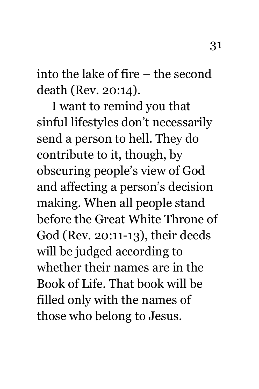into the lake of fire – the second death (Rev. 20:14).

I want to remind you that sinful lifestyles don't necessarily send a person to hell. They do contribute to it, though, by obscuring people's view of God and affecting a person's decision making. When all people stand before the Great White Throne of God (Rev. 20:11-13), their deeds will be judged according to whether their names are in the Book of Life. That book will be filled only with the names of those who belong to Jesus.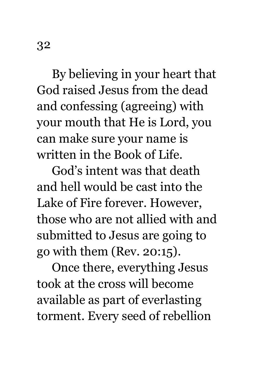By believing in your heart that God raised Jesus from the dead and confessing (agreeing) with your mouth that He is Lord, you can make sure your name is written in the Book of Life.

God's intent was that death and hell would be cast into the Lake of Fire forever. However, those who are not allied with and submitted to Jesus are going to go with them (Rev. 20:15).

Once there, everything Jesus took at the cross will become available as part of everlasting torment. Every seed of rebellion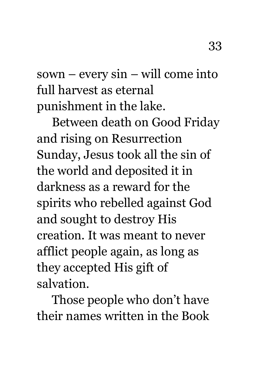sown – every sin – will come into full harvest as eternal punishment in the lake.

Between death on Good Friday and rising on Resurrection Sunday, Jesus took all the sin of the world and deposited it in darkness as a reward for the spirits who rebelled against God and sought to destroy His creation. It was meant to never afflict people again, as long as they accepted His gift of salvation.

Those people who don't have their names written in the Book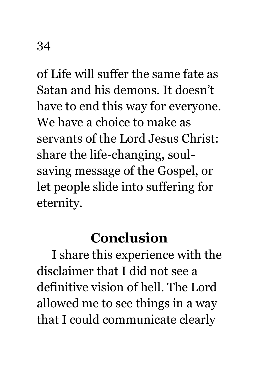of Life will suffer the same fate as Satan and his demons. It doesn't have to end this way for everyone. We have a choice to make as servants of the Lord Jesus Christ: share the life-changing, soulsaving message of the Gospel, or let people slide into suffering for eternity.

## **Conclusion**

I share this experience with the disclaimer that I did not see a definitive vision of hell. The Lord allowed me to see things in a way that I could communicate clearly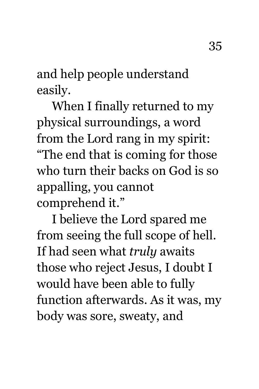and help people understand easily.

When I finally returned to my physical surroundings, a word from the Lord rang in my spirit: "The end that is coming for those who turn their backs on God is so appalling, you cannot

comprehend it."

I believe the Lord spared me from seeing the full scope of hell. If had seen what *truly* awaits those who reject Jesus, I doubt I would have been able to fully function afterwards. As it was, my body was sore, sweaty, and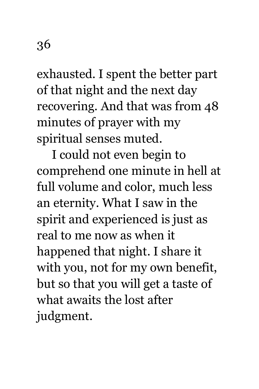exhausted. I spent the better part of that night and the next day recovering. And that was from 48 minutes of prayer with my spiritual senses muted.

I could not even begin to comprehend one minute in hell at full volume and color, much less an eternity. What I saw in the spirit and experienced is just as real to me now as when it happened that night. I share it with you, not for my own benefit, but so that you will get a taste of what awaits the lost after judgment.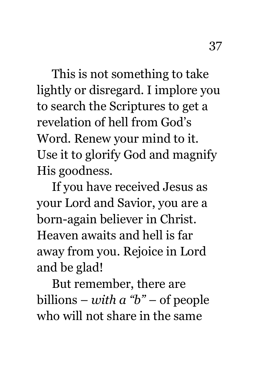This is not something to take lightly or disregard. I implore you to search the Scriptures to get a revelation of hell from God's Word. Renew your mind to it. Use it to glorify God and magnify His goodness.

If you have received Jesus as your Lord and Savior, you are a born-again believer in Christ. Heaven awaits and hell is far away from you. Rejoice in Lord and be glad!

But remember, there are billions – *with a "b"* – of people who will not share in the same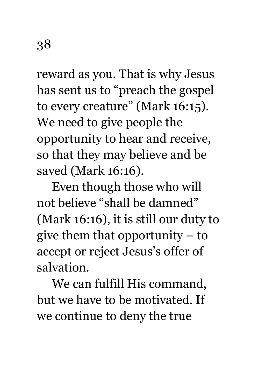reward as you. That is why Jesus has sent us to "preach the gospel to every creature" (Mark 16:15). We need to give people the opportunity to hear and receive, so that they may believe and be saved (Mark 16:16).

Even though those who will not believe "shall be damned" (Mark 16:16), it is still our duty to give them that opportunity – to accept or reject Jesus's offer of salvation.

We can fulfill His command, but we have to be motivated. If we continue to deny the true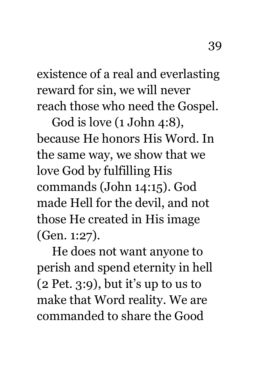existence of a real and everlasting reward for sin, we will never reach those who need the Gospel.

God is love (1 John 4:8), because He honors His Word. In the same way, we show that we love God by fulfilling His commands (John 14:15). God made Hell for the devil, and not those He created in His image (Gen. 1:27).

He does not want anyone to perish and spend eternity in hell (2 Pet. 3:9), but it's up to us to make that Word reality. We are commanded to share the Good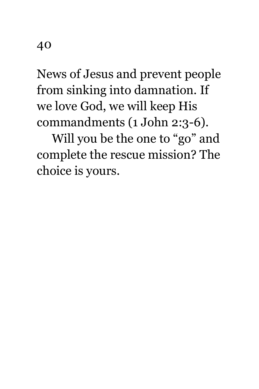News of Jesus and prevent people from sinking into damnation. If we love God, we will keep His commandments (1 John 2:3-6).

Will you be the one to "go" and complete the rescue mission? The choice is yours.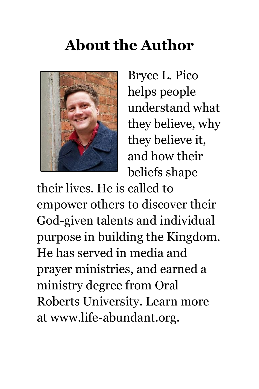## **About the Author**



Bryce L. Pico helps people understand what they believe, why they believe it, and how their beliefs shape

their lives. He is called to empower others to discover their God-given talents and individual purpose in building the Kingdom. He has served in media and prayer ministries, and earned a ministry degree from Oral Roberts University. Learn more at www.life-abundant.org.